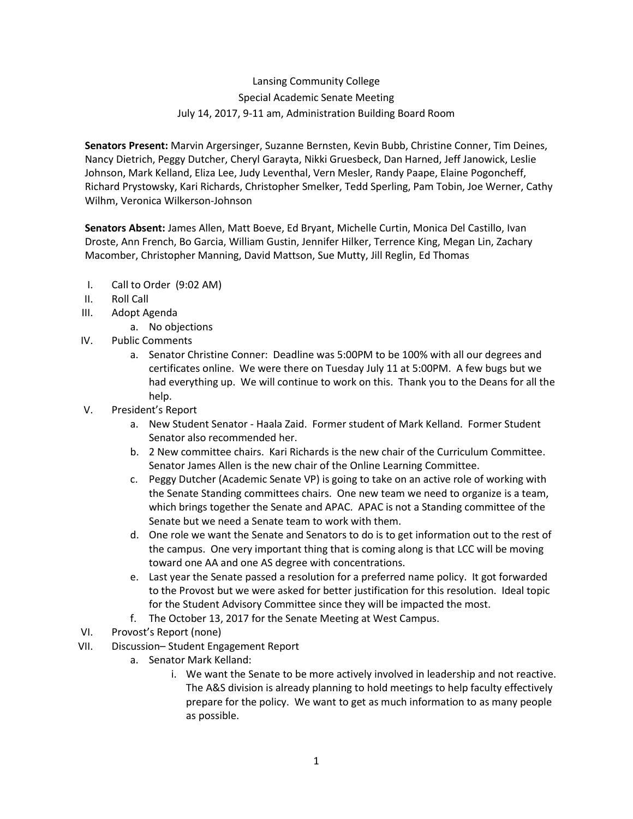## Lansing Community College Special Academic Senate Meeting July 14, 2017, 9-11 am, Administration Building Board Room

**Senators Present:** Marvin Argersinger, Suzanne Bernsten, Kevin Bubb, Christine Conner, Tim Deines, Nancy Dietrich, Peggy Dutcher, Cheryl Garayta, Nikki Gruesbeck, Dan Harned, Jeff Janowick, Leslie Johnson, Mark Kelland, Eliza Lee, Judy Leventhal, Vern Mesler, Randy Paape, Elaine Pogoncheff, Richard Prystowsky, Kari Richards, Christopher Smelker, Tedd Sperling, Pam Tobin, Joe Werner, Cathy Wilhm, Veronica Wilkerson-Johnson

**Senators Absent:** James Allen, Matt Boeve, Ed Bryant, Michelle Curtin, Monica Del Castillo, Ivan Droste, Ann French, Bo Garcia, William Gustin, Jennifer Hilker, Terrence King, Megan Lin, Zachary Macomber, Christopher Manning, David Mattson, Sue Mutty, Jill Reglin, Ed Thomas

- I. Call to Order (9:02 AM)
- II. Roll Call
- III. Adopt Agenda
	- a. No objections
- IV. Public Comments
	- a. Senator Christine Conner: Deadline was 5:00PM to be 100% with all our degrees and certificates online. We were there on Tuesday July 11 at 5:00PM. A few bugs but we had everything up. We will continue to work on this. Thank you to the Deans for all the help.
- V. President's Report
	- a. New Student Senator Haala Zaid. Former student of Mark Kelland. Former Student Senator also recommended her.
	- b. 2 New committee chairs. Kari Richards is the new chair of the Curriculum Committee. Senator James Allen is the new chair of the Online Learning Committee.
	- c. Peggy Dutcher (Academic Senate VP) is going to take on an active role of working with the Senate Standing committees chairs. One new team we need to organize is a team, which brings together the Senate and APAC. APAC is not a Standing committee of the Senate but we need a Senate team to work with them.
	- d. One role we want the Senate and Senators to do is to get information out to the rest of the campus. One very important thing that is coming along is that LCC will be moving toward one AA and one AS degree with concentrations.
	- e. Last year the Senate passed a resolution for a preferred name policy. It got forwarded to the Provost but we were asked for better justification for this resolution. Ideal topic for the Student Advisory Committee since they will be impacted the most.
	- f. The October 13, 2017 for the Senate Meeting at West Campus.
- VI. Provost's Report (none)
- VII. Discussion– Student Engagement Report
	- a. Senator Mark Kelland:
		- i. We want the Senate to be more actively involved in leadership and not reactive. The A&S division is already planning to hold meetings to help faculty effectively prepare for the policy. We want to get as much information to as many people as possible.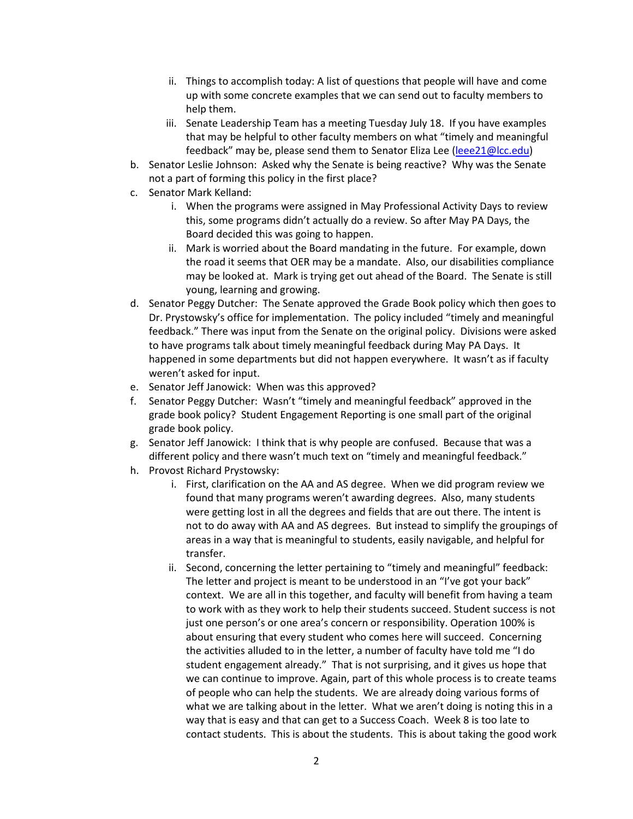- ii. Things to accomplish today: A list of questions that people will have and come up with some concrete examples that we can send out to faculty members to help them.
- iii. Senate Leadership Team has a meeting Tuesday July 18. If you have examples that may be helpful to other faculty members on what "timely and meaningful feedback" may be, please send them to Senator Eliza Lee [\(leee21@lcc.edu\)](mailto:leee21@lcc.edu)
- b. Senator Leslie Johnson: Asked why the Senate is being reactive? Why was the Senate not a part of forming this policy in the first place?
- c. Senator Mark Kelland:
	- i. When the programs were assigned in May Professional Activity Days to review this, some programs didn't actually do a review. So after May PA Days, the Board decided this was going to happen.
	- ii. Mark is worried about the Board mandating in the future. For example, down the road it seems that OER may be a mandate. Also, our disabilities compliance may be looked at. Mark is trying get out ahead of the Board. The Senate is still young, learning and growing.
- d. Senator Peggy Dutcher: The Senate approved the Grade Book policy which then goes to Dr. Prystowsky's office for implementation. The policy included "timely and meaningful feedback." There was input from the Senate on the original policy. Divisions were asked to have programs talk about timely meaningful feedback during May PA Days. It happened in some departments but did not happen everywhere. It wasn't as if faculty weren't asked for input.
- e. Senator Jeff Janowick: When was this approved?
- f. Senator Peggy Dutcher: Wasn't "timely and meaningful feedback" approved in the grade book policy? Student Engagement Reporting is one small part of the original grade book policy.
- g. Senator Jeff Janowick: I think that is why people are confused. Because that was a different policy and there wasn't much text on "timely and meaningful feedback."
- h. Provost Richard Prystowsky:
	- i. First, clarification on the AA and AS degree. When we did program review we found that many programs weren't awarding degrees. Also, many students were getting lost in all the degrees and fields that are out there. The intent is not to do away with AA and AS degrees. But instead to simplify the groupings of areas in a way that is meaningful to students, easily navigable, and helpful for transfer.
	- ii. Second, concerning the letter pertaining to "timely and meaningful" feedback: The letter and project is meant to be understood in an "I've got your back" context. We are all in this together, and faculty will benefit from having a team to work with as they work to help their students succeed. Student success is not just one person's or one area's concern or responsibility. Operation 100% is about ensuring that every student who comes here will succeed. Concerning the activities alluded to in the letter, a number of faculty have told me "I do student engagement already." That is not surprising, and it gives us hope that we can continue to improve. Again, part of this whole process is to create teams of people who can help the students. We are already doing various forms of what we are talking about in the letter. What we aren't doing is noting this in a way that is easy and that can get to a Success Coach. Week 8 is too late to contact students. This is about the students. This is about taking the good work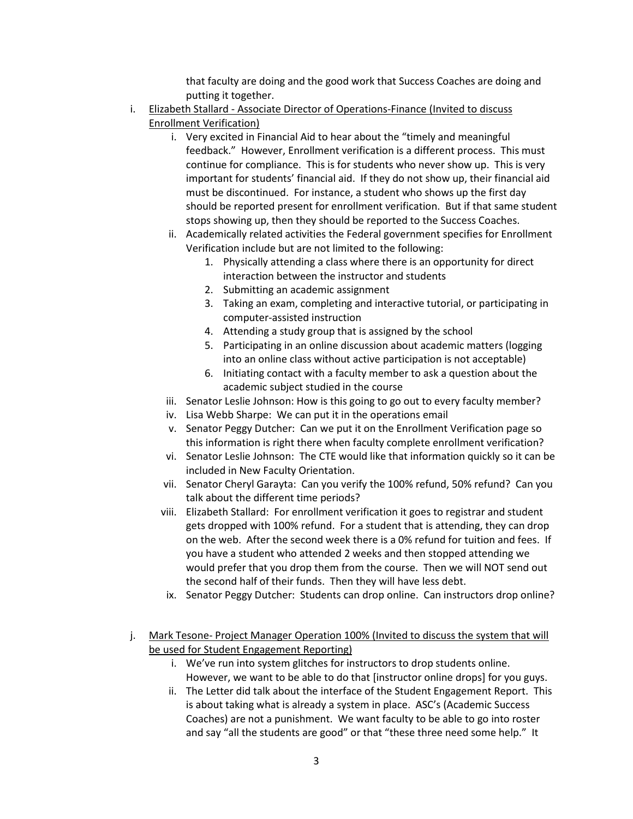that faculty are doing and the good work that Success Coaches are doing and putting it together.

- i. Elizabeth Stallard Associate Director of Operations-Finance (Invited to discuss Enrollment Verification)
	- i. Very excited in Financial Aid to hear about the "timely and meaningful feedback." However, Enrollment verification is a different process. This must continue for compliance. This is for students who never show up. This is very important for students' financial aid. If they do not show up, their financial aid must be discontinued. For instance, a student who shows up the first day should be reported present for enrollment verification. But if that same student stops showing up, then they should be reported to the Success Coaches.
	- ii. Academically related activities the Federal government specifies for Enrollment Verification include but are not limited to the following:
		- 1. Physically attending a class where there is an opportunity for direct interaction between the instructor and students
		- 2. Submitting an academic assignment
		- 3. Taking an exam, completing and interactive tutorial, or participating in computer-assisted instruction
		- 4. Attending a study group that is assigned by the school
		- 5. Participating in an online discussion about academic matters (logging into an online class without active participation is not acceptable)
		- 6. Initiating contact with a faculty member to ask a question about the academic subject studied in the course
	- iii. Senator Leslie Johnson: How is this going to go out to every faculty member?
	- iv. Lisa Webb Sharpe: We can put it in the operations email
	- v. Senator Peggy Dutcher: Can we put it on the Enrollment Verification page so this information is right there when faculty complete enrollment verification?
	- vi. Senator Leslie Johnson: The CTE would like that information quickly so it can be included in New Faculty Orientation.
	- vii. Senator Cheryl Garayta: Can you verify the 100% refund, 50% refund? Can you talk about the different time periods?
	- viii. Elizabeth Stallard: For enrollment verification it goes to registrar and student gets dropped with 100% refund. For a student that is attending, they can drop on the web. After the second week there is a 0% refund for tuition and fees. If you have a student who attended 2 weeks and then stopped attending we would prefer that you drop them from the course. Then we will NOT send out the second half of their funds. Then they will have less debt.
		- ix. Senator Peggy Dutcher: Students can drop online. Can instructors drop online?
- j. Mark Tesone- Project Manager Operation 100% (Invited to discuss the system that will be used for Student Engagement Reporting)
	- i. We've run into system glitches for instructors to drop students online. However, we want to be able to do that [instructor online drops] for you guys.
	- ii. The Letter did talk about the interface of the Student Engagement Report. This is about taking what is already a system in place. ASC's (Academic Success Coaches) are not a punishment. We want faculty to be able to go into roster and say "all the students are good" or that "these three need some help." It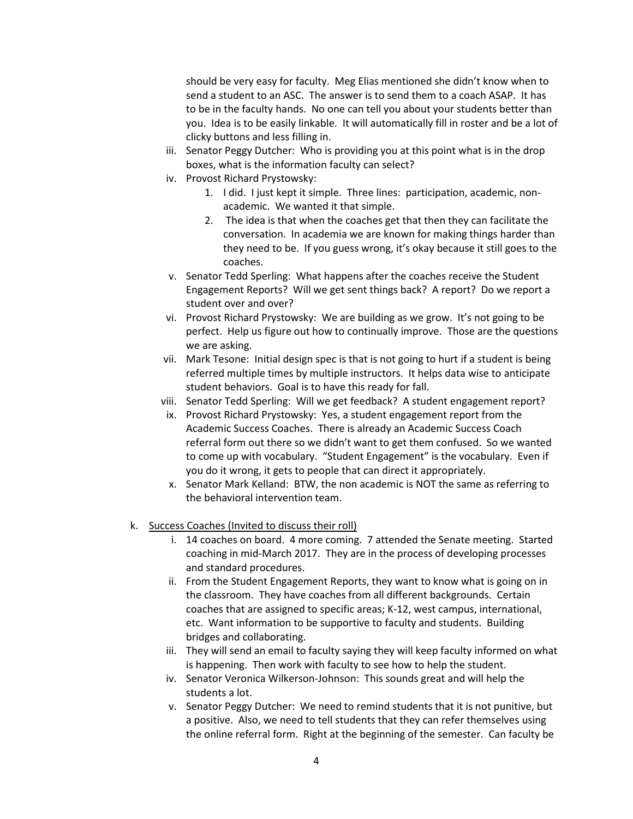should be very easy for faculty. Meg Elias mentioned she didn't know when to send a student to an ASC. The answer is to send them to a coach ASAP. It has to be in the faculty hands. No one can tell you about your students better than you. Idea is to be easily linkable. It will automatically fill in roster and be a lot of clicky buttons and less filling in.

- iii. Senator Peggy Dutcher: Who is providing you at this point what is in the drop boxes, what is the information faculty can select?
- iv. Provost Richard Prystowsky:
	- 1. I did. I just kept it simple. Three lines: participation, academic, nonacademic. We wanted it that simple.
	- 2. The idea is that when the coaches get that then they can facilitate the conversation. In academia we are known for making things harder than they need to be. If you guess wrong, it's okay because it still goes to the coaches.
- v. Senator Tedd Sperling: What happens after the coaches receive the Student Engagement Reports? Will we get sent things back? A report? Do we report a student over and over?
- vi. Provost Richard Prystowsky: We are building as we grow. It's not going to be perfect. Help us figure out how to continually improve. Those are the questions we are asking.
- vii. Mark Tesone: Initial design spec is that is not going to hurt if a student is being referred multiple times by multiple instructors. It helps data wise to anticipate student behaviors. Goal is to have this ready for fall.
- viii. Senator Tedd Sperling: Will we get feedback? A student engagement report?
- ix. Provost Richard Prystowsky: Yes, a student engagement report from the Academic Success Coaches. There is already an Academic Success Coach referral form out there so we didn't want to get them confused. So we wanted to come up with vocabulary. "Student Engagement" is the vocabulary. Even if you do it wrong, it gets to people that can direct it appropriately.
- x. Senator Mark Kelland: BTW, the non academic is NOT the same as referring to the behavioral intervention team.
- k. Success Coaches (Invited to discuss their roll)
	- i. 14 coaches on board. 4 more coming. 7 attended the Senate meeting. Started coaching in mid-March 2017. They are in the process of developing processes and standard procedures.
	- ii. From the Student Engagement Reports, they want to know what is going on in the classroom. They have coaches from all different backgrounds. Certain coaches that are assigned to specific areas; K-12, west campus, international, etc. Want information to be supportive to faculty and students. Building bridges and collaborating.
	- iii. They will send an email to faculty saying they will keep faculty informed on what is happening. Then work with faculty to see how to help the student.
	- iv. Senator Veronica Wilkerson-Johnson: This sounds great and will help the students a lot.
	- v. Senator Peggy Dutcher: We need to remind students that it is not punitive, but a positive. Also, we need to tell students that they can refer themselves using the online referral form. Right at the beginning of the semester. Can faculty be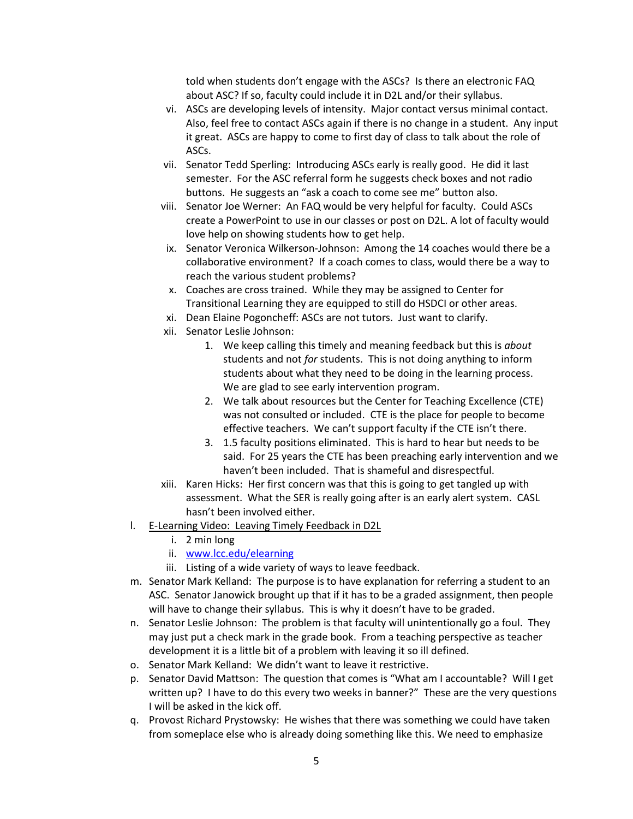told when students don't engage with the ASCs? Is there an electronic FAQ about ASC? If so, faculty could include it in D2L and/or their syllabus.

- vi. ASCs are developing levels of intensity. Major contact versus minimal contact. Also, feel free to contact ASCs again if there is no change in a student. Any input it great. ASCs are happy to come to first day of class to talk about the role of ASCs.
- vii. Senator Tedd Sperling: Introducing ASCs early is really good. He did it last semester. For the ASC referral form he suggests check boxes and not radio buttons. He suggests an "ask a coach to come see me" button also.
- viii. Senator Joe Werner: An FAQ would be very helpful for faculty. Could ASCs create a PowerPoint to use in our classes or post on D2L. A lot of faculty would love help on showing students how to get help.
- ix. Senator Veronica Wilkerson-Johnson: Among the 14 coaches would there be a collaborative environment? If a coach comes to class, would there be a way to reach the various student problems?
- x. Coaches are cross trained. While they may be assigned to Center for Transitional Learning they are equipped to still do HSDCI or other areas.
- xi. Dean Elaine Pogoncheff: ASCs are not tutors. Just want to clarify.
- xii. Senator Leslie Johnson:
	- 1. We keep calling this timely and meaning feedback but this is *about* students and not *for* students. This is not doing anything to inform students about what they need to be doing in the learning process. We are glad to see early intervention program.
	- 2. We talk about resources but the Center for Teaching Excellence (CTE) was not consulted or included. CTE is the place for people to become effective teachers. We can't support faculty if the CTE isn't there.
	- 3. 1.5 faculty positions eliminated. This is hard to hear but needs to be said. For 25 years the CTE has been preaching early intervention and we haven't been included. That is shameful and disrespectful.
- xiii. Karen Hicks: Her first concern was that this is going to get tangled up with assessment. What the SER is really going after is an early alert system. CASL hasn't been involved either.
- l. E-Learning Video: Leaving Timely Feedback in D2L
	- i. 2 min long
	- ii. [www.lcc.edu/elearning](http://www.lcc.edu/elearning)
	- iii. Listing of a wide variety of ways to leave feedback.
- m. Senator Mark Kelland: The purpose is to have explanation for referring a student to an ASC. Senator Janowick brought up that if it has to be a graded assignment, then people will have to change their syllabus. This is why it doesn't have to be graded.
- n. Senator Leslie Johnson: The problem is that faculty will unintentionally go a foul. They may just put a check mark in the grade book. From a teaching perspective as teacher development it is a little bit of a problem with leaving it so ill defined.
- o. Senator Mark Kelland: We didn't want to leave it restrictive.
- p. Senator David Mattson: The question that comes is "What am I accountable? Will I get written up? I have to do this every two weeks in banner?" These are the very questions I will be asked in the kick off.
- q. Provost Richard Prystowsky: He wishes that there was something we could have taken from someplace else who is already doing something like this. We need to emphasize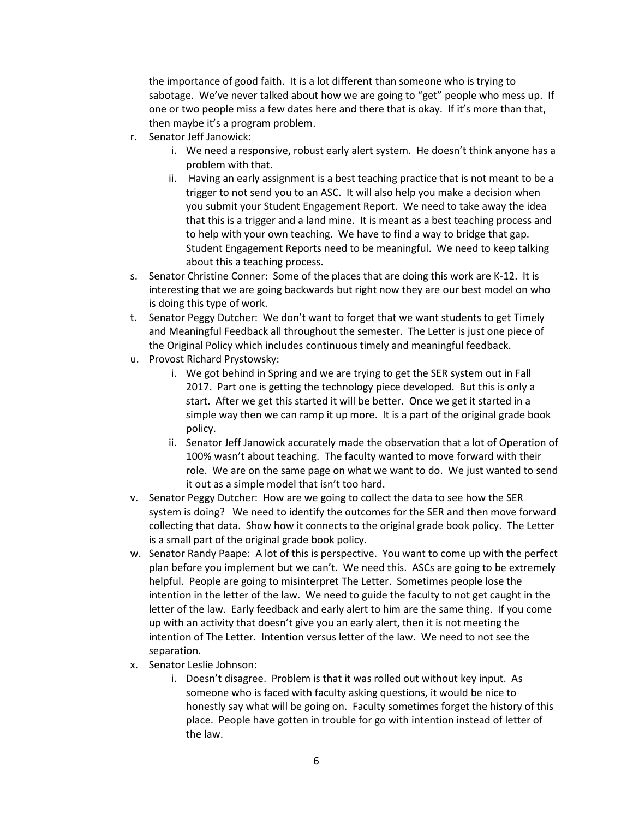the importance of good faith. It is a lot different than someone who is trying to sabotage. We've never talked about how we are going to "get" people who mess up. If one or two people miss a few dates here and there that is okay. If it's more than that, then maybe it's a program problem.

- r. Senator Jeff Janowick:
	- i. We need a responsive, robust early alert system. He doesn't think anyone has a problem with that.
	- ii. Having an early assignment is a best teaching practice that is not meant to be a trigger to not send you to an ASC. It will also help you make a decision when you submit your Student Engagement Report. We need to take away the idea that this is a trigger and a land mine. It is meant as a best teaching process and to help with your own teaching. We have to find a way to bridge that gap. Student Engagement Reports need to be meaningful. We need to keep talking about this a teaching process.
- s. Senator Christine Conner: Some of the places that are doing this work are K-12. It is interesting that we are going backwards but right now they are our best model on who is doing this type of work.
- t. Senator Peggy Dutcher: We don't want to forget that we want students to get Timely and Meaningful Feedback all throughout the semester. The Letter is just one piece of the Original Policy which includes continuous timely and meaningful feedback.
- u. Provost Richard Prystowsky:
	- i. We got behind in Spring and we are trying to get the SER system out in Fall 2017. Part one is getting the technology piece developed. But this is only a start. After we get this started it will be better. Once we get it started in a simple way then we can ramp it up more. It is a part of the original grade book policy.
	- ii. Senator Jeff Janowick accurately made the observation that a lot of Operation of 100% wasn't about teaching. The faculty wanted to move forward with their role. We are on the same page on what we want to do. We just wanted to send it out as a simple model that isn't too hard.
- v. Senator Peggy Dutcher: How are we going to collect the data to see how the SER system is doing? We need to identify the outcomes for the SER and then move forward collecting that data. Show how it connects to the original grade book policy. The Letter is a small part of the original grade book policy.
- w. Senator Randy Paape: A lot of this is perspective. You want to come up with the perfect plan before you implement but we can't. We need this. ASCs are going to be extremely helpful. People are going to misinterpret The Letter. Sometimes people lose the intention in the letter of the law. We need to guide the faculty to not get caught in the letter of the law. Early feedback and early alert to him are the same thing. If you come up with an activity that doesn't give you an early alert, then it is not meeting the intention of The Letter. Intention versus letter of the law. We need to not see the separation.
- x. Senator Leslie Johnson:
	- i. Doesn't disagree. Problem is that it was rolled out without key input. As someone who is faced with faculty asking questions, it would be nice to honestly say what will be going on. Faculty sometimes forget the history of this place. People have gotten in trouble for go with intention instead of letter of the law.